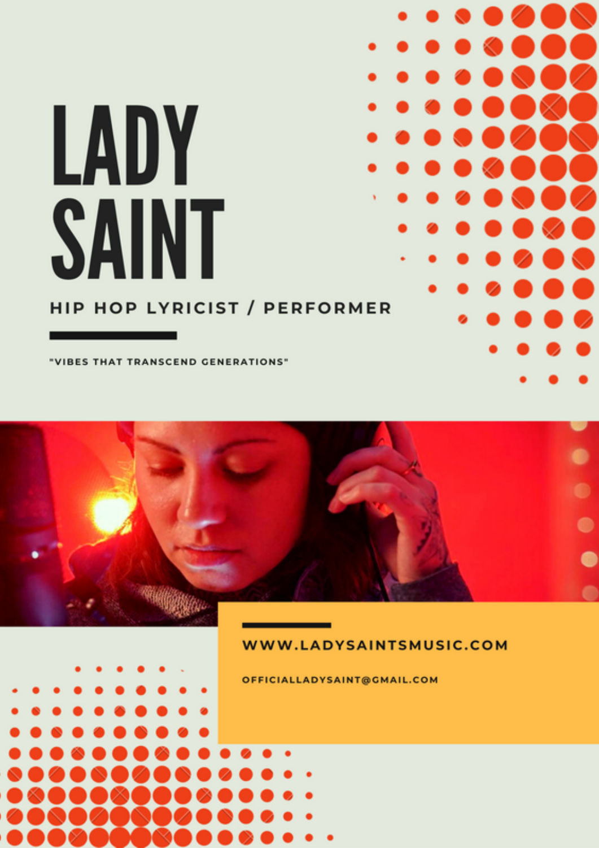# LADY **SAINT**

#### **HIP HOP LYRICIST / PERFORMER**

"VIBES THAT TRANSCEND GENERATIONS"



OFFICIALLADYSAINT@GMAIL.COM